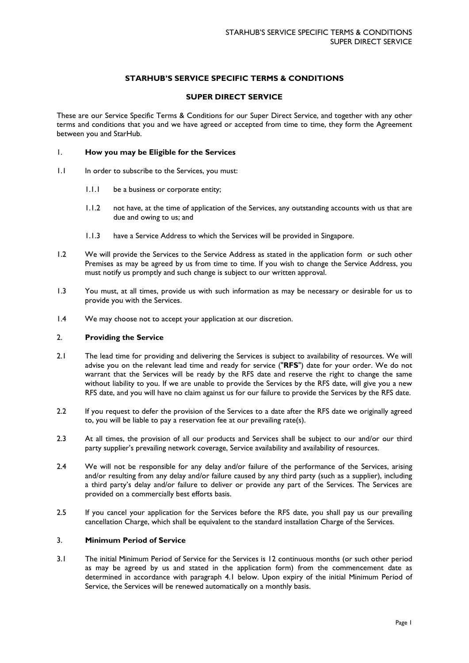# **STARHUB'S SERVICE SPECIFIC TERMS & CONDITIONS**

## **SUPER DIRECT SERVICE**

These are our Service Specific Terms & Conditions for our Super Direct Service, and together with any other terms and conditions that you and we have agreed or accepted from time to time, they form the Agreement between you and StarHub.

## 1. **How you may be Eligible for the Services**

- 1.1 In order to subscribe to the Services, you must:
	- 1.1.1 be a business or corporate entity;
	- 1.1.2 not have, at the time of application of the Services, any outstanding accounts with us that are due and owing to us; and
	- 1.1.3 have a Service Address to which the Services will be provided in Singapore.
- 1.2 We will provide the Services to the Service Address as stated in the application form or such other Premises as may be agreed by us from time to time. If you wish to change the Service Address, you must notify us promptly and such change is subject to our written approval.
- 1.3 You must, at all times, provide us with such information as may be necessary or desirable for us to provide you with the Services.
- 1.4 We may choose not to accept your application at our discretion.

#### 2. **Providing the Service**

- 2.1 The lead time for providing and delivering the Services is subject to availability of resources. We will advise you on the relevant lead time and ready for service ("**RFS**") date for your order. We do not warrant that the Services will be ready by the RFS date and reserve the right to change the same without liability to you. If we are unable to provide the Services by the RFS date, will give you a new RFS date, and you will have no claim against us for our failure to provide the Services by the RFS date.
- 2.2 If you request to defer the provision of the Services to a date after the RFS date we originally agreed to, you will be liable to pay a reservation fee at our prevailing rate(s).
- 2.3 At all times, the provision of all our products and Services shall be subject to our and/or our third party supplier's prevailing network coverage, Service availability and availability of resources.
- 2.4 We will not be responsible for any delay and/or failure of the performance of the Services, arising and/or resulting from any delay and/or failure caused by any third party (such as a supplier), including a third party's delay and/or failure to deliver or provide any part of the Services. The Services are provided on a commercially best efforts basis.
- 2.5 If you cancel your application for the Services before the RFS date, you shall pay us our prevailing cancellation Charge, which shall be equivalent to the standard installation Charge of the Services.

## 3. **Minimum Period of Service**

3.1 The initial Minimum Period of Service for the Services is 12 continuous months (or such other period as may be agreed by us and stated in the application form) from the commencement date as determined in accordance with paragraph 4.1 below. Upon expiry of the initial Minimum Period of Service, the Services will be renewed automatically on a monthly basis.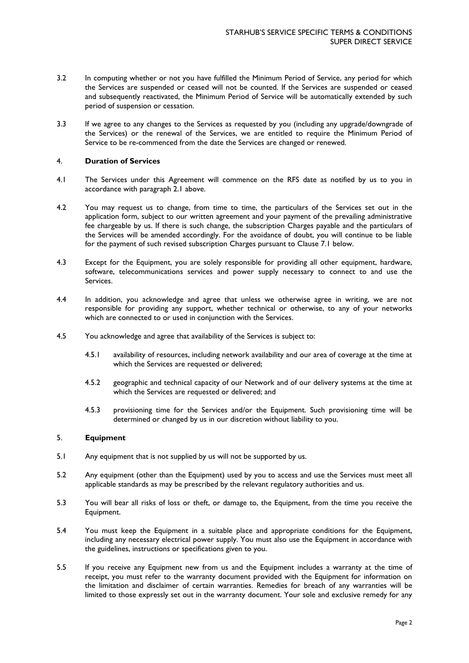- 3.2 In computing whether or not you have fulfilled the Minimum Period of Service, any period for which the Services are suspended or ceased will not be counted. If the Services are suspended or ceased and subsequently reactivated, the Minimum Period of Service will be automatically extended by such period of suspension or cessation.
- 3.3 If we agree to any changes to the Services as requested by you (including any upgrade/downgrade of the Services) or the renewal of the Services, we are entitled to require the Minimum Period of Service to be re-commenced from the date the Services are changed or renewed.

## 4. **Duration of Services**

- 4.1 The Services under this Agreement will commence on the RFS date as notified by us to you in accordance with paragraph 2.1 above.
- 4.2 You may request us to change, from time to time, the particulars of the Services set out in the application form, subject to our written agreement and your payment of the prevailing administrative fee chargeable by us. If there is such change, the subscription Charges payable and the particulars of the Services will be amended accordingly. For the avoidance of doubt, you will continue to be liable for the payment of such revised subscription Charges pursuant to Clause 7.1 below.
- 4.3 Except for the Equipment, you are solely responsible for providing all other equipment, hardware, software, telecommunications services and power supply necessary to connect to and use the Services.
- 4.4 In addition, you acknowledge and agree that unless we otherwise agree in writing, we are not responsible for providing any support, whether technical or otherwise, to any of your networks which are connected to or used in conjunction with the Services.
- 4.5 You acknowledge and agree that availability of the Services is subject to:
	- 4.5.1 availability of resources, including network availability and our area of coverage at the time at which the Services are requested or delivered;
	- 4.5.2 geographic and technical capacity of our Network and of our delivery systems at the time at which the Services are requested or delivered; and
	- 4.5.3 provisioning time for the Services and/or the Equipment. Such provisioning time will be determined or changed by us in our discretion without liability to you.

#### 5. **Equipment**

- 5.1 Any equipment that is not supplied by us will not be supported by us.
- 5.2 Any equipment (other than the Equipment) used by you to access and use the Services must meet all applicable standards as may be prescribed by the relevant regulatory authorities and us.
- 5.3 You will bear all risks of loss or theft, or damage to, the Equipment, from the time you receive the Equipment.
- 5.4 You must keep the Equipment in a suitable place and appropriate conditions for the Equipment, including any necessary electrical power supply. You must also use the Equipment in accordance with the guidelines, instructions or specifications given to you.
- 5.5 If you receive any Equipment new from us and the Equipment includes a warranty at the time of receipt, you must refer to the warranty document provided with the Equipment for information on the limitation and disclaimer of certain warranties. Remedies for breach of any warranties will be limited to those expressly set out in the warranty document. Your sole and exclusive remedy for any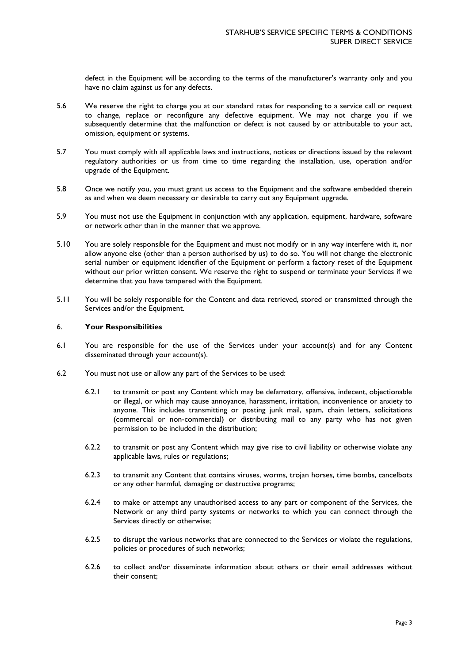defect in the Equipment will be according to the terms of the manufacturer's warranty only and you have no claim against us for any defects.

- 5.6 We reserve the right to charge you at our standard rates for responding to a service call or request to change, replace or reconfigure any defective equipment. We may not charge you if we subsequently determine that the malfunction or defect is not caused by or attributable to your act, omission, equipment or systems.
- 5.7 You must comply with all applicable laws and instructions, notices or directions issued by the relevant regulatory authorities or us from time to time regarding the installation, use, operation and/or upgrade of the Equipment.
- 5.8 Once we notify you, you must grant us access to the Equipment and the software embedded therein as and when we deem necessary or desirable to carry out any Equipment upgrade.
- 5.9 You must not use the Equipment in conjunction with any application, equipment, hardware, software or network other than in the manner that we approve.
- 5.10 You are solely responsible for the Equipment and must not modify or in any way interfere with it, nor allow anyone else (other than a person authorised by us) to do so. You will not change the electronic serial number or equipment identifier of the Equipment or perform a factory reset of the Equipment without our prior written consent. We reserve the right to suspend or terminate your Services if we determine that you have tampered with the Equipment.
- 5.11 You will be solely responsible for the Content and data retrieved, stored or transmitted through the Services and/or the Equipment.

## 6. **Your Responsibilities**

- 6.1 You are responsible for the use of the Services under your account(s) and for any Content disseminated through your account(s).
- 6.2 You must not use or allow any part of the Services to be used:
	- 6.2.1 to transmit or post any Content which may be defamatory, offensive, indecent, objectionable or illegal, or which may cause annoyance, harassment, irritation, inconvenience or anxiety to anyone. This includes transmitting or posting junk mail, spam, chain letters, solicitations (commercial or non-commercial) or distributing mail to any party who has not given permission to be included in the distribution;
	- 6.2.2 to transmit or post any Content which may give rise to civil liability or otherwise violate any applicable laws, rules or regulations;
	- 6.2.3 to transmit any Content that contains viruses, worms, trojan horses, time bombs, cancelbots or any other harmful, damaging or destructive programs;
	- 6.2.4 to make or attempt any unauthorised access to any part or component of the Services, the Network or any third party systems or networks to which you can connect through the Services directly or otherwise;
	- 6.2.5 to disrupt the various networks that are connected to the Services or violate the regulations, policies or procedures of such networks;
	- 6.2.6 to collect and/or disseminate information about others or their email addresses without their consent;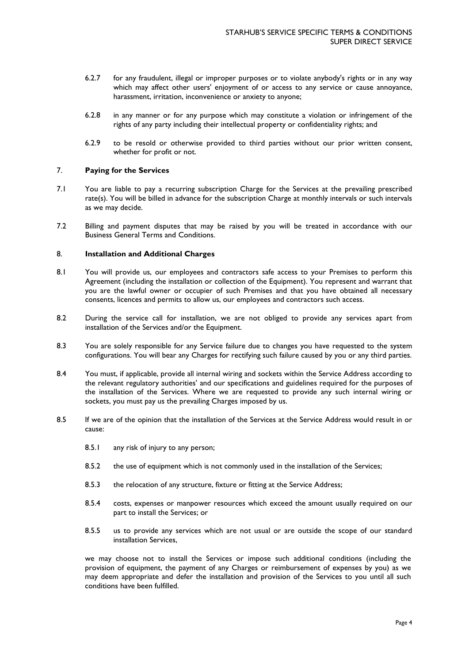- 6.2.7 for any fraudulent, illegal or improper purposes or to violate anybody's rights or in any way which may affect other users' enjoyment of or access to any service or cause annoyance, harassment, irritation, inconvenience or anxiety to anyone;
- 6.2.8 in any manner or for any purpose which may constitute a violation or infringement of the rights of any party including their intellectual property or confidentiality rights; and
- 6.2.9 to be resold or otherwise provided to third parties without our prior written consent, whether for profit or not.

## 7. **Paying for the Services**

- 7.1 You are liable to pay a recurring subscription Charge for the Services at the prevailing prescribed rate(s). You will be billed in advance for the subscription Charge at monthly intervals or such intervals as we may decide.
- 7.2 Billing and payment disputes that may be raised by you will be treated in accordance with our Business General Terms and Conditions.

# 8. **Installation and Additional Charges**

- 8.1 You will provide us, our employees and contractors safe access to your Premises to perform this Agreement (including the installation or collection of the Equipment). You represent and warrant that you are the lawful owner or occupier of such Premises and that you have obtained all necessary consents, licences and permits to allow us, our employees and contractors such access.
- 8.2 During the service call for installation, we are not obliged to provide any services apart from installation of the Services and/or the Equipment.
- 8.3 You are solely responsible for any Service failure due to changes you have requested to the system configurations. You will bear any Charges for rectifying such failure caused by you or any third parties.
- 8.4 You must, if applicable, provide all internal wiring and sockets within the Service Address according to the relevant regulatory authorities' and our specifications and guidelines required for the purposes of the installation of the Services. Where we are requested to provide any such internal wiring or sockets, you must pay us the prevailing Charges imposed by us.
- 8.5 If we are of the opinion that the installation of the Services at the Service Address would result in or cause:
	- 8.5.1 any risk of injury to any person;
	- 8.5.2 the use of equipment which is not commonly used in the installation of the Services;
	- 8.5.3 the relocation of any structure, fixture or fitting at the Service Address;
	- 8.5.4 costs, expenses or manpower resources which exceed the amount usually required on our part to install the Services; or
	- 8.5.5 us to provide any services which are not usual or are outside the scope of our standard installation Services,

we may choose not to install the Services or impose such additional conditions (including the provision of equipment, the payment of any Charges or reimbursement of expenses by you) as we may deem appropriate and defer the installation and provision of the Services to you until all such conditions have been fulfilled.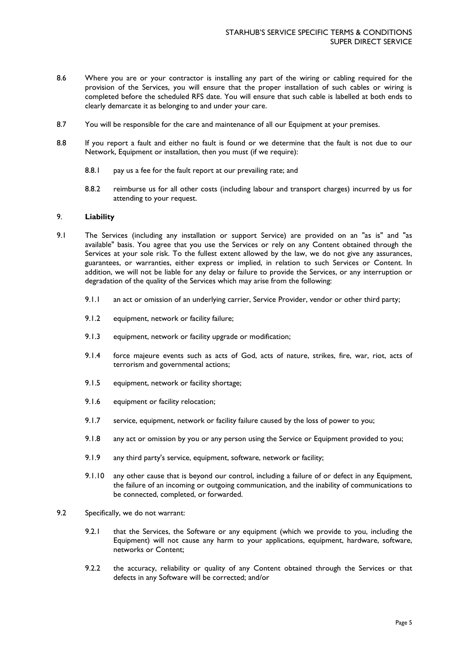- 8.6 Where you are or your contractor is installing any part of the wiring or cabling required for the provision of the Services, you will ensure that the proper installation of such cables or wiring is completed before the scheduled RFS date. You will ensure that such cable is labelled at both ends to clearly demarcate it as belonging to and under your care.
- 8.7 You will be responsible for the care and maintenance of all our Equipment at your premises.
- 8.8 If you report a fault and either no fault is found or we determine that the fault is not due to our Network, Equipment or installation, then you must (if we require):
	- 8.8.1 pay us a fee for the fault report at our prevailing rate; and
	- 8.8.2 reimburse us for all other costs (including labour and transport charges) incurred by us for attending to your request.

## 9. **Liability**

- 9.1 The Services (including any installation or support Service) are provided on an "as is" and "as available" basis. You agree that you use the Services or rely on any Content obtained through the Services at your sole risk. To the fullest extent allowed by the law, we do not give any assurances, guarantees, or warranties, either express or implied, in relation to such Services or Content. In addition, we will not be liable for any delay or failure to provide the Services, or any interruption or degradation of the quality of the Services which may arise from the following:
	- 9.1.1 an act or omission of an underlying carrier, Service Provider, vendor or other third party;
	- 9.1.2 equipment, network or facility failure;
	- 9.1.3 equipment, network or facility upgrade or modification;
	- 9.1.4 force majeure events such as acts of God, acts of nature, strikes, fire, war, riot, acts of terrorism and governmental actions;
	- 9.1.5 equipment, network or facility shortage;
	- 9.1.6 equipment or facility relocation;
	- 9.1.7 service, equipment, network or facility failure caused by the loss of power to you;
	- 9.1.8 any act or omission by you or any person using the Service or Equipment provided to you;
	- 9.1.9 any third party's service, equipment, software, network or facility;
	- 9.1.10 any other cause that is beyond our control, including a failure of or defect in any Equipment, the failure of an incoming or outgoing communication, and the inability of communications to be connected, completed, or forwarded.
- 9.2 Specifically, we do not warrant:
	- 9.2.1 that the Services, the Software or any equipment (which we provide to you, including the Equipment) will not cause any harm to your applications, equipment, hardware, software, networks or Content;
	- 9.2.2 the accuracy, reliability or quality of any Content obtained through the Services or that defects in any Software will be corrected; and/or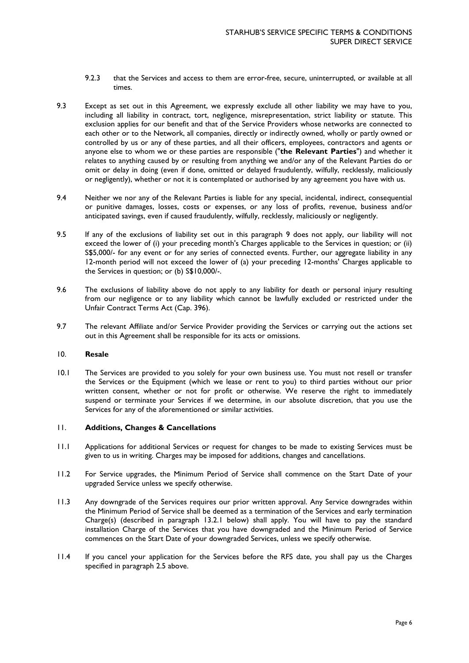- 9.2.3 that the Services and access to them are error-free, secure, uninterrupted, or available at all times.
- 9.3 Except as set out in this Agreement, we expressly exclude all other liability we may have to you, including all liability in contract, tort, negligence, misrepresentation, strict liability or statute. This exclusion applies for our benefit and that of the Service Providers whose networks are connected to each other or to the Network, all companies, directly or indirectly owned, wholly or partly owned or controlled by us or any of these parties, and all their officers, employees, contractors and agents or anyone else to whom we or these parties are responsible ("**the Relevant Parties**") and whether it relates to anything caused by or resulting from anything we and/or any of the Relevant Parties do or omit or delay in doing (even if done, omitted or delayed fraudulently, wilfully, recklessly, maliciously or negligently), whether or not it is contemplated or authorised by any agreement you have with us.
- 9.4 Neither we nor any of the Relevant Parties is liable for any special, incidental, indirect, consequential or punitive damages, losses, costs or expenses, or any loss of profits, revenue, business and/or anticipated savings, even if caused fraudulently, wilfully, recklessly, maliciously or negligently.
- 9.5 If any of the exclusions of liability set out in this paragraph 9 does not apply, our liability will not exceed the lower of (i) your preceding month's Charges applicable to the Services in question; or (ii) S\$5,000/- for any event or for any series of connected events. Further, our aggregate liability in any 12-month period will not exceed the lower of (a) your preceding 12-months' Charges applicable to the Services in question; or (b) S\$10,000/-.
- 9.6 The exclusions of liability above do not apply to any liability for death or personal injury resulting from our negligence or to any liability which cannot be lawfully excluded or restricted under the Unfair Contract Terms Act (Cap. 396).
- 9.7 The relevant Affiliate and/or Service Provider providing the Services or carrying out the actions set out in this Agreement shall be responsible for its acts or omissions.

## 10. **Resale**

10.1 The Services are provided to you solely for your own business use. You must not resell or transfer the Services or the Equipment (which we lease or rent to you) to third parties without our prior written consent, whether or not for profit or otherwise. We reserve the right to immediately suspend or terminate your Services if we determine, in our absolute discretion, that you use the Services for any of the aforementioned or similar activities.

# 11. **Additions, Changes & Cancellations**

- 11.1 Applications for additional Services or request for changes to be made to existing Services must be given to us in writing. Charges may be imposed for additions, changes and cancellations.
- 11.2 For Service upgrades, the Minimum Period of Service shall commence on the Start Date of your upgraded Service unless we specify otherwise.
- 11.3 Any downgrade of the Services requires our prior written approval. Any Service downgrades within the Minimum Period of Service shall be deemed as a termination of the Services and early termination Charge(s) (described in paragraph 13.2.1 below) shall apply. You will have to pay the standard installation Charge of the Services that you have downgraded and the Minimum Period of Service commences on the Start Date of your downgraded Services, unless we specify otherwise.
- 11.4 If you cancel your application for the Services before the RFS date, you shall pay us the Charges specified in paragraph 2.5 above.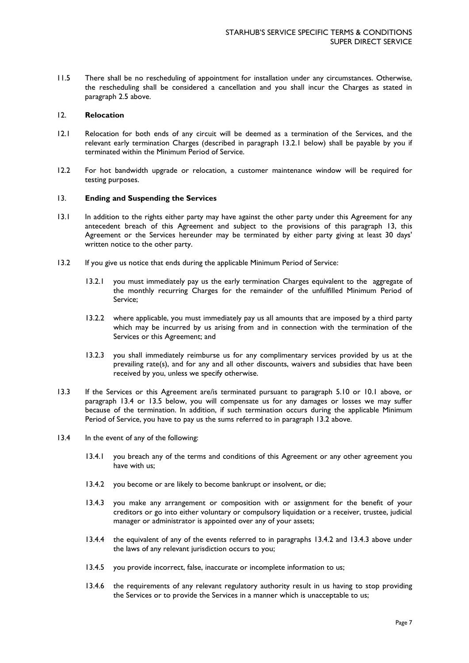11.5 There shall be no rescheduling of appointment for installation under any circumstances. Otherwise, the rescheduling shall be considered a cancellation and you shall incur the Charges as stated in paragraph 2.5 above.

## 12. **Relocation**

- 12.1 Relocation for both ends of any circuit will be deemed as a termination of the Services, and the relevant early termination Charges (described in paragraph 13.2.1 below) shall be payable by you if terminated within the Minimum Period of Service.
- 12.2 For hot bandwidth upgrade or relocation, a customer maintenance window will be required for testing purposes.

# 13. **Ending and Suspending the Services**

- 13.1 In addition to the rights either party may have against the other party under this Agreement for any antecedent breach of this Agreement and subject to the provisions of this paragraph 13, this Agreement or the Services hereunder may be terminated by either party giving at least 30 days' written notice to the other party.
- 13.2 If you give us notice that ends during the applicable Minimum Period of Service:
	- 13.2.1 you must immediately pay us the early termination Charges equivalent to the aggregate of the monthly recurring Charges for the remainder of the unfulfilled Minimum Period of Service;
	- 13.2.2 where applicable, you must immediately pay us all amounts that are imposed by a third party which may be incurred by us arising from and in connection with the termination of the Services or this Agreement; and
	- 13.2.3 you shall immediately reimburse us for any complimentary services provided by us at the prevailing rate(s), and for any and all other discounts, waivers and subsidies that have been received by you, unless we specify otherwise.
- 13.3 If the Services or this Agreement are/is terminated pursuant to paragraph 5.10 or 10.1 above, or paragraph 13.4 or 13.5 below, you will compensate us for any damages or losses we may suffer because of the termination. In addition, if such termination occurs during the applicable Minimum Period of Service, you have to pay us the sums referred to in paragraph 13.2 above.
- 13.4 In the event of any of the following:
	- 13.4.1 you breach any of the terms and conditions of this Agreement or any other agreement you have with us;
	- 13.4.2 you become or are likely to become bankrupt or insolvent, or die;
	- 13.4.3 you make any arrangement or composition with or assignment for the benefit of your creditors or go into either voluntary or compulsory liquidation or a receiver, trustee, judicial manager or administrator is appointed over any of your assets;
	- 13.4.4 the equivalent of any of the events referred to in paragraphs 13.4.2 and 13.4.3 above under the laws of any relevant jurisdiction occurs to you;
	- 13.4.5 you provide incorrect, false, inaccurate or incomplete information to us;
	- 13.4.6 the requirements of any relevant regulatory authority result in us having to stop providing the Services or to provide the Services in a manner which is unacceptable to us;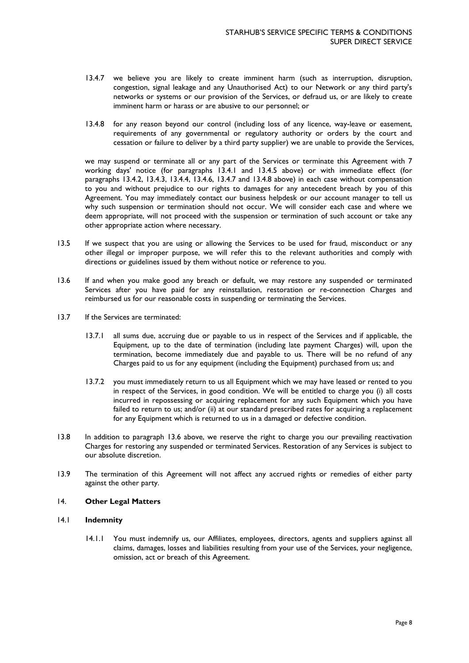- 13.4.7 we believe you are likely to create imminent harm (such as interruption, disruption, congestion, signal leakage and any Unauthorised Act) to our Network or any third party's networks or systems or our provision of the Services, or defraud us, or are likely to create imminent harm or harass or are abusive to our personnel; or
- 13.4.8 for any reason beyond our control (including loss of any licence, way-leave or easement, requirements of any governmental or regulatory authority or orders by the court and cessation or failure to deliver by a third party supplier) we are unable to provide the Services,

we may suspend or terminate all or any part of the Services or terminate this Agreement with 7 working days' notice (for paragraphs 13.4.1 and 13.4.5 above) or with immediate effect (for paragraphs 13.4.2, 13.4.3, 13.4.4, 13.4.6, 13.4.7 and 13.4.8 above) in each case without compensation to you and without prejudice to our rights to damages for any antecedent breach by you of this Agreement. You may immediately contact our business helpdesk or our account manager to tell us why such suspension or termination should not occur. We will consider each case and where we deem appropriate, will not proceed with the suspension or termination of such account or take any other appropriate action where necessary.

- 13.5 If we suspect that you are using or allowing the Services to be used for fraud, misconduct or any other illegal or improper purpose, we will refer this to the relevant authorities and comply with directions or guidelines issued by them without notice or reference to you.
- 13.6 If and when you make good any breach or default, we may restore any suspended or terminated Services after you have paid for any reinstallation, restoration or re-connection Charges and reimbursed us for our reasonable costs in suspending or terminating the Services.
- 13.7 If the Services are terminated:
	- 13.7.1 all sums due, accruing due or payable to us in respect of the Services and if applicable, the Equipment, up to the date of termination (including late payment Charges) will, upon the termination, become immediately due and payable to us. There will be no refund of any Charges paid to us for any equipment (including the Equipment) purchased from us; and
	- 13.7.2 you must immediately return to us all Equipment which we may have leased or rented to you in respect of the Services, in good condition. We will be entitled to charge you (i) all costs incurred in repossessing or acquiring replacement for any such Equipment which you have failed to return to us; and/or (ii) at our standard prescribed rates for acquiring a replacement for any Equipment which is returned to us in a damaged or defective condition.
- 13.8 In addition to paragraph 13.6 above, we reserve the right to charge you our prevailing reactivation Charges for restoring any suspended or terminated Services. Restoration of any Services is subject to our absolute discretion.
- 13.9 The termination of this Agreement will not affect any accrued rights or remedies of either party against the other party.

# 14. **Other Legal Matters**

# 14.1 **Indemnity**

14.1.1 You must indemnify us, our Affiliates, employees, directors, agents and suppliers against all claims, damages, losses and liabilities resulting from your use of the Services, your negligence, omission, act or breach of this Agreement.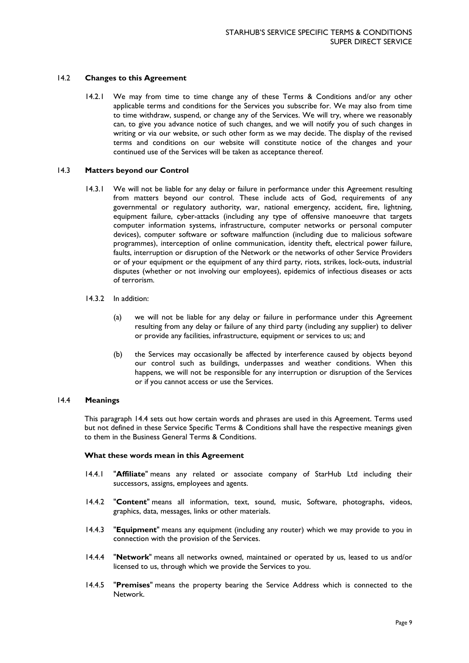## 14.2 **Changes to this Agreement**

14.2.1 We may from time to time change any of these Terms & Conditions and/or any other applicable terms and conditions for the Services you subscribe for. We may also from time to time withdraw, suspend, or change any of the Services. We will try, where we reasonably can, to give you advance notice of such changes, and we will notify you of such changes in writing or via our website, or such other form as we may decide. The display of the revised terms and conditions on our website will constitute notice of the changes and your continued use of the Services will be taken as acceptance thereof.

## 14.3 **Matters beyond our Control**

- 14.3.1 We will not be liable for any delay or failure in performance under this Agreement resulting from matters beyond our control. These include acts of God, requirements of any governmental or regulatory authority, war, national emergency, accident, fire, lightning, equipment failure, cyber-attacks (including any type of offensive manoeuvre that targets computer information systems, infrastructure, computer networks or personal computer devices), computer software or software malfunction (including due to malicious software programmes), interception of online communication, identity theft, electrical power failure, faults, interruption or disruption of the Network or the networks of other Service Providers or of your equipment or the equipment of any third party, riots, strikes, lock-outs, industrial disputes (whether or not involving our employees), epidemics of infectious diseases or acts of terrorism.
- 14.3.2 In addition:
	- (a) we will not be liable for any delay or failure in performance under this Agreement resulting from any delay or failure of any third party (including any supplier) to deliver or provide any facilities, infrastructure, equipment or services to us; and
	- (b) the Services may occasionally be affected by interference caused by objects beyond our control such as buildings, underpasses and weather conditions. When this happens, we will not be responsible for any interruption or disruption of the Services or if you cannot access or use the Services.

## 14.4 **Meanings**

This paragraph 14.4 sets out how certain words and phrases are used in this Agreement. Terms used but not defined in these Service Specific Terms & Conditions shall have the respective meanings given to them in the Business General Terms & Conditions.

#### **What these words mean in this Agreement**

- 14.4.1 "**Affiliate**" means any related or associate company of StarHub Ltd including their successors, assigns, employees and agents.
- 14.4.2 "**Content**" means all information, text, sound, music, Software, photographs, videos, graphics, data, messages, links or other materials.
- 14.4.3 "**Equipment**" means any equipment (including any router) which we may provide to you in connection with the provision of the Services.
- 14.4.4 "**Network**" means all networks owned, maintained or operated by us, leased to us and/or licensed to us, through which we provide the Services to you.
- 14.4.5 "**Premises**" means the property bearing the Service Address which is connected to the Network.